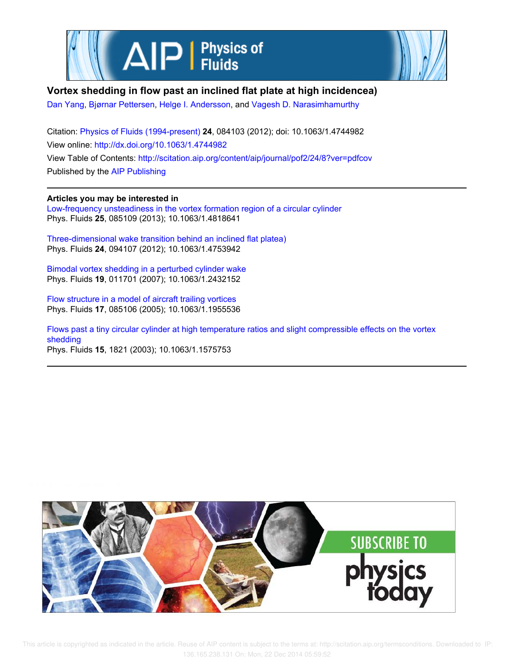



**Vortex shedding in flow past an inclined flat plate at high incidencea)**

Dan Yang, Bjørnar Pettersen, Helge I. Andersson, and Vagesh D. Narasimhamurthy

Citation: Physics of Fluids (1994-present) **24**, 084103 (2012); doi: 10.1063/1.4744982 View online: http://dx.doi.org/10.1063/1.4744982 View Table of Contents: http://scitation.aip.org/content/aip/journal/pof2/24/8?ver=pdfcov Published by the AIP Publishing

**Articles you may be interested in**

Low-frequency unsteadiness in the vortex formation region of a circular cylinder Phys. Fluids **25**, 085109 (2013); 10.1063/1.4818641

Three-dimensional wake transition behind an inclined flat platea) Phys. Fluids **24**, 094107 (2012); 10.1063/1.4753942

Bimodal vortex shedding in a perturbed cylinder wake Phys. Fluids **19**, 011701 (2007); 10.1063/1.2432152

Flow structure in a model of aircraft trailing vortices Phys. Fluids **17**, 085106 (2005); 10.1063/1.1955536

Flows past a tiny circular cylinder at high temperature ratios and slight compressible effects on the vortex shedding Phys. Fluids **15**, 1821 (2003); 10.1063/1.1575753

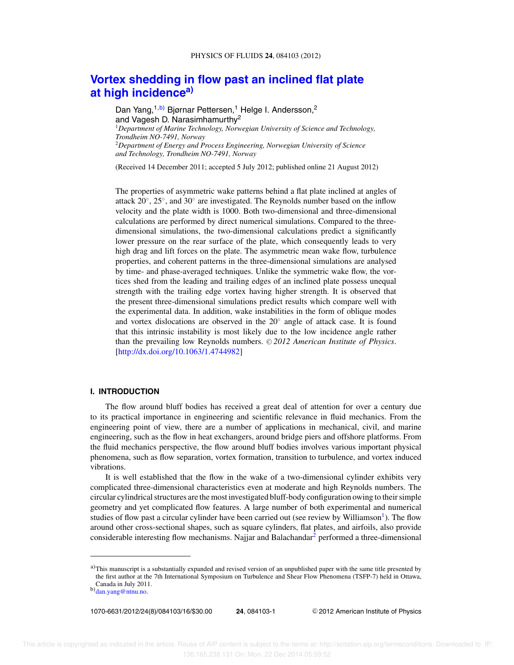# **Vortex shedding in flow past an inclined flat plate at high incidencea)**

Dan Yang,<sup>1,b)</sup> Bjørnar Pettersen,<sup>1</sup> Helge I. Andersson,<sup>2</sup> and Vagesh D. Narasimhamurthy<sup>2</sup> <sup>1</sup>*Department of Marine Technology, Norwegian University of Science and Technology, Trondheim NO-7491, Norway* <sup>2</sup>*Department of Energy and Process Engineering, Norwegian University of Science and Technology, Trondheim NO-7491, Norway*

(Received 14 December 2011; accepted 5 July 2012; published online 21 August 2012)

The properties of asymmetric wake patterns behind a flat plate inclined at angles of attack 20◦ , 25◦ , and 30◦ are investigated. The Reynolds number based on the inflow velocity and the plate width is 1000. Both two-dimensional and three-dimensional calculations are performed by direct numerical simulations. Compared to the threedimensional simulations, the two-dimensional calculations predict a significantly lower pressure on the rear surface of the plate, which consequently leads to very high drag and lift forces on the plate. The asymmetric mean wake flow, turbulence properties, and coherent patterns in the three-dimensional simulations are analysed by time- and phase-averaged techniques. Unlike the symmetric wake flow, the vortices shed from the leading and trailing edges of an inclined plate possess unequal strength with the trailing edge vortex having higher strength. It is observed that the present three-dimensional simulations predict results which compare well with the experimental data. In addition, wake instabilities in the form of oblique modes and vortex dislocations are observed in the 20° angle of attack case. It is found that this intrinsic instability is most likely due to the low incidence angle rather than the prevailing low Reynolds numbers. © 2012 American Institute of Physics. [http://dx.doi.org/10.1063/1.4744982]

### **I. INTRODUCTION**

The flow around bluff bodies has received a great deal of attention for over a century due to its practical importance in engineering and scientific relevance in fluid mechanics. From the engineering point of view, there are a number of applications in mechanical, civil, and marine engineering, such as the flow in heat exchangers, around bridge piers and offshore platforms. From the fluid mechanics perspective, the flow around bluff bodies involves various important physical phenomena, such as flow separation, vortex formation, transition to turbulence, and vortex induced vibrations.

It is well established that the flow in the wake of a two-dimensional cylinder exhibits very complicated three-dimensional characteristics even at moderate and high Reynolds numbers. The circular cylindrical structures are the most investigated bluff-body configuration owing to their simple geometry and yet complicated flow features. A large number of both experimental and numerical studies of flow past a circular cylinder have been carried out (see review by Williamson<sup>1</sup>). The flow around other cross-sectional shapes, such as square cylinders, flat plates, and airfoils, also provide considerable interesting flow mechanisms. Najjar and Balachandar<sup>2</sup> performed a three-dimensional

1070-6631/2012/24(8)/084103/16/\$30.00 **24**, 084103-1 -

 $a)$ This manuscript is a substantially expanded and revised version of an unpublished paper with the same title presented by the first author at the 7th International Symposium on Turbulence and Shear Flow Phenomena (TSFP-7) held in Ottawa, Canada in July 2011.

b)dan.yang@ntnu.no.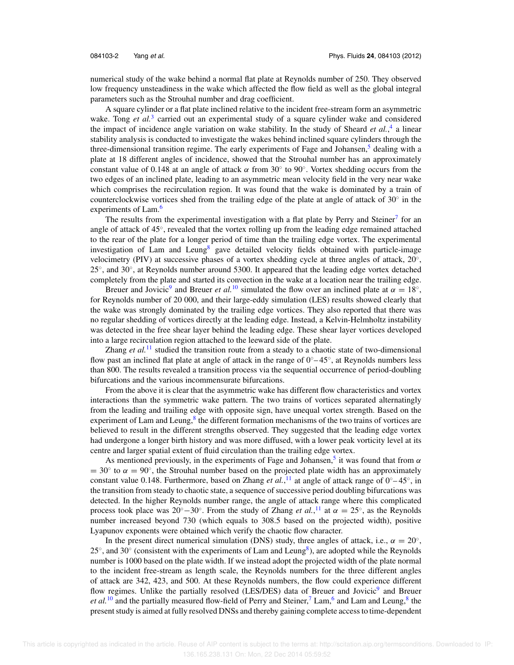numerical study of the wake behind a normal flat plate at Reynolds number of 250. They observed low frequency unsteadiness in the wake which affected the flow field as well as the global integral parameters such as the Strouhal number and drag coefficient.

A square cylinder or a flat plate inclined relative to the incident free-stream form an asymmetric wake. Tong et al.<sup>3</sup> carried out an experimental study of a square cylinder wake and considered the impact of incidence angle variation on wake stability. In the study of Sheard *et al.*,<sup>4</sup> a linear stability analysis is conducted to investigate the wakes behind inclined square cylinders through the three-dimensional transition regime. The early experiments of Fage and Johansen, $5$  dealing with a plate at 18 different angles of incidence, showed that the Strouhal number has an approximately constant value of 0.148 at an angle of attack  $\alpha$  from 30 $\degree$  to 90 $\degree$ . Vortex shedding occurs from the two edges of an inclined plate, leading to an asymmetric mean velocity field in the very near wake which comprises the recirculation region. It was found that the wake is dominated by a train of counterclockwise vortices shed from the trailing edge of the plate at angle of attack of 30° in the experiments of Lam.<sup>6</sup>

The results from the experimental investigation with a flat plate by Perry and Steiner<sup>7</sup> for an angle of attack of 45◦ , revealed that the vortex rolling up from the leading edge remained attached to the rear of the plate for a longer period of time than the trailing edge vortex. The experimental investigation of Lam and Leung<sup>8</sup> gave detailed velocity fields obtained with particle-image velocimetry (PIV) at successive phases of a vortex shedding cycle at three angles of attack, 20°, 25°, and 30°, at Reynolds number around 5300. It appeared that the leading edge vortex detached completely from the plate and started its convection in the wake at a location near the trailing edge.

Breuer and Jovicic<sup>9</sup> and Breuer *et al.*<sup>10</sup> simulated the flow over an inclined plate at  $\alpha = 18^\circ$ , for Reynolds number of 20 000, and their large-eddy simulation (LES) results showed clearly that the wake was strongly dominated by the trailing edge vortices. They also reported that there was no regular shedding of vortices directly at the leading edge. Instead, a Kelvin-Helmholtz instability was detected in the free shear layer behind the leading edge. These shear layer vortices developed into a large recirculation region attached to the leeward side of the plate.

Zhang *et al.*<sup>11</sup> studied the transition route from a steady to a chaotic state of two-dimensional flow past an inclined flat plate at angle of attack in the range of  $0°-45°$ , at Reynolds numbers less than 800. The results revealed a transition process via the sequential occurrence of period-doubling bifurcations and the various incommensurate bifurcations.

From the above it is clear that the asymmetric wake has different flow characteristics and vortex interactions than the symmetric wake pattern. The two trains of vortices separated alternatingly from the leading and trailing edge with opposite sign, have unequal vortex strength. Based on the experiment of Lam and Leung,<sup>8</sup> the different formation mechanisms of the two trains of vortices are believed to result in the different strengths observed. They suggested that the leading edge vortex had undergone a longer birth history and was more diffused, with a lower peak vorticity level at its centre and larger spatial extent of fluid circulation than the trailing edge vortex.

As mentioned previously, in the experiments of Fage and Johansen,<sup>5</sup> it was found that from  $\alpha$  $= 30°$  to  $\alpha = 90°$ , the Strouhal number based on the projected plate width has an approximately constant value 0.148. Furthermore, based on Zhang *et al.*,<sup>11</sup> at angle of attack range of  $0^\circ - 45^\circ$ , in the transition from steady to chaotic state, a sequence of successive period doubling bifurcations was detected. In the higher Reynolds number range, the angle of attack range where this complicated process took place was 20<sup>°</sup> − 30<sup>°</sup>. From the study of Zhang *et al.*,<sup>11</sup> at  $\alpha = 25^\circ$ , as the Reynolds number increased beyond 730 (which equals to 308.5 based on the projected width), positive Lyapunov exponents were obtained which verify the chaotic flow character.

In the present direct numerical simulation (DNS) study, three angles of attack, i.e.,  $\alpha = 20^\circ$ , 25 $\degree$ , and 30 $\degree$  (consistent with the experiments of Lam and Leung $\degree$ ), are adopted while the Reynolds number is 1000 based on the plate width. If we instead adopt the projected width of the plate normal to the incident free-stream as length scale, the Reynolds numbers for the three different angles of attack are 342, 423, and 500. At these Reynolds numbers, the flow could experience different flow regimes. Unlike the partially resolved (LES/DES) data of Breuer and Jovicic<sup>9</sup> and Breuer et al.<sup>10</sup> and the partially measured flow-field of Perry and Steiner,<sup>7</sup> Lam,<sup>6</sup> and Lam and Leung,<sup>8</sup> the present study is aimed at fully resolved DNSs and thereby gaining complete access to time-dependent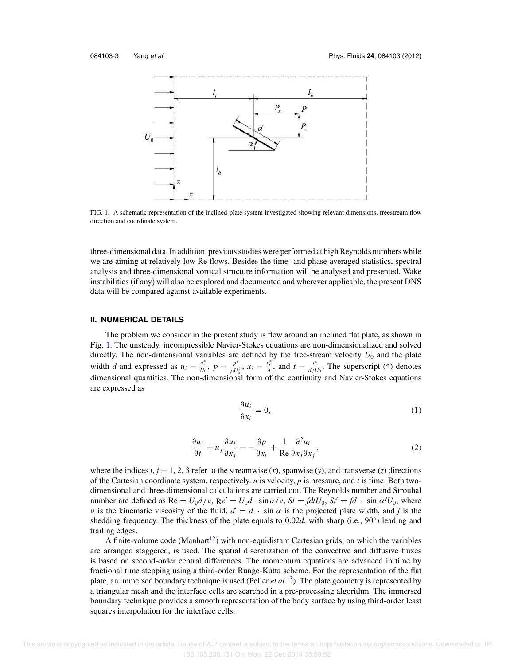

FIG. 1. A schematic representation of the inclined-plate system investigated showing relevant dimensions, freestream flow direction and coordinate system.

three-dimensional data. In addition, previous studies were performed at high Reynolds numbers while we are aiming at relatively low Re flows. Besides the time- and phase-averaged statistics, spectral analysis and three-dimensional vortical structure information will be analysed and presented. Wake instabilities (if any) will also be explored and documented and wherever applicable, the present DNS data will be compared against available experiments.

### **II. NUMERICAL DETAILS**

The problem we consider in the present study is flow around an inclined flat plate, as shown in Fig. 1. The unsteady, incompressible Navier-Stokes equations are non-dimensionalized and solved directly. The non-dimensional variables are defined by the free-stream velocity  $U_0$  and the plate width *d* and expressed as  $u_i = \frac{u_i^*}{U_0}$ ,  $p = \frac{p^*}{\rho U_0}$  $\frac{p^*}{\rho U_0^2}$ ,  $x_i = \frac{x_i^*}{d}$ , and  $t = \frac{t^*}{d/l}$  $\frac{t^*}{d/U_0}$ . The superscript (\*) denotes dimensional quantities. The non-dimensional form of the continuity and Navier-Stokes equations are expressed as

$$
\frac{\partial u_i}{\partial x_i} = 0,\tag{1}
$$

$$
\frac{\partial u_i}{\partial t} + u_j \frac{\partial u_i}{\partial x_j} = -\frac{\partial p}{\partial x_i} + \frac{1}{\text{Re}} \frac{\partial^2 u_i}{\partial x_j \partial x_j},\tag{2}
$$

where the indices  $i, j = 1, 2, 3$  refer to the streamwise  $(x)$ , spanwise  $(y)$ , and transverse  $(z)$  directions of the Cartesian coordinate system, respectively. *u* is velocity, *p* is pressure, and *t* is time. Both twodimensional and three-dimensional calculations are carried out. The Reynolds number and Strouhal number are defined as  $\text{Re} = U_0 d/v$ ,  $\text{Re}' = U_0 d \cdot \sin \alpha/v$ ,  $St = fd/U_0$ ,  $St' = fd \cdot \sin \alpha/U_0$ , where *v* is the kinematic viscosity of the fluid,  $d' = d \cdot \sin \alpha$  is the projected plate width, and *f* is the shedding frequency. The thickness of the plate equals to 0.02d, with sharp (i.e., 90°) leading and trailing edges.

A finite-volume code (Manhart<sup>12</sup>) with non-equidistant Cartesian grids, on which the variables are arranged staggered, is used. The spatial discretization of the convective and diffusive fluxes is based on second-order central differences. The momentum equations are advanced in time by fractional time stepping using a third-order Runge-Kutta scheme. For the representation of the flat plate, an immersed boundary technique is used (Peller *et al.*<sup>13</sup>). The plate geometry is represented by a triangular mesh and the interface cells are searched in a pre-processing algorithm. The immersed boundary technique provides a smooth representation of the body surface by using third-order least squares interpolation for the interface cells.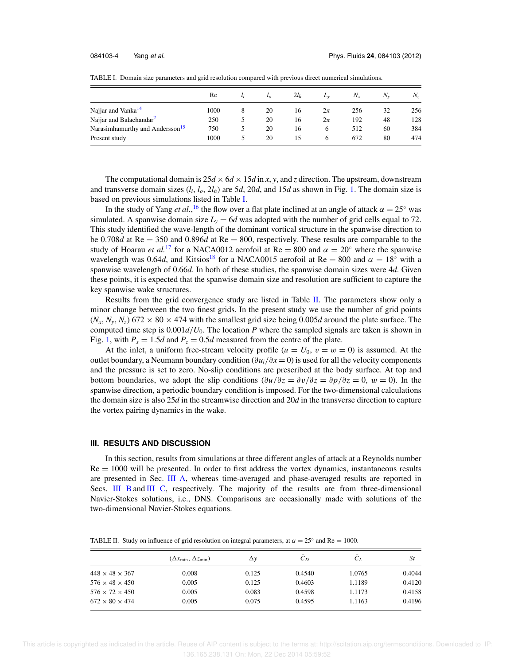|                                             | Re   |   | $\iota_o$ | $2l_h$ | $L_{V}$ | $N_{x}$ | $N_{\rm v}$ | $N_z$ |
|---------------------------------------------|------|---|-----------|--------|---------|---------|-------------|-------|
| Najjar and Vanka <sup>14</sup>              | 1000 | 8 | 20        | 16     | $2\pi$  | 256     | 32          | 256   |
| Najjar and Balachandar <sup>2</sup>         | 250  |   | 20        | 16     | $2\pi$  | 192     | 48          | 128   |
| Narasimhamurthy and Andersson <sup>15</sup> | 750  |   | 20        | 16     | 6       | 512     | 60          | 384   |
| Present study                               | 1000 |   | 20        | 15     | 6       | 672     | 80          | 474   |

TABLE I. Domain size parameters and grid resolution compared with previous direct numerical simulations.

The computational domain is  $25d \times 6d \times 15d$  in *x*, *y*, and *z* direction. The upstream, downstream and transverse domain sizes  $(l_i, l_o, 2l_h)$  are 5*d*, 20*d*, and 15*d* as shown in Fig. 1. The domain size is based on previous simulations listed in Table I.

In the study of Yang *et al*.,<sup>16</sup> the flow over a flat plate inclined at an angle of attack  $\alpha = 25^\circ$  was simulated. A spanwise domain size  $L<sub>y</sub> = 6d$  was adopted with the number of grid cells equal to 72. This study identified the wave-length of the dominant vortical structure in the spanwise direction to be 0.708*d* at Re = 350 and 0.896*d* at Re = 800, respectively. These results are comparable to the study of Hoarau *et al.*<sup>17</sup> for a NACA0012 aerofoil at Re = 800 and  $\alpha = 20^\circ$  where the spanwise wavelength was 0.64*d*, and Kitsios<sup>18</sup> for a NACA0015 aerofoil at Re = 800 and  $\alpha = 18^\circ$  with a spanwise wavelength of 0.66*d*. In both of these studies, the spanwise domain sizes were 4*d*. Given these points, it is expected that the spanwise domain size and resolution are sufficient to capture the key spanwise wake structures.

Results from the grid convergence study are listed in Table II. The parameters show only a minor change between the two finest grids. In the present study we use the number of grid points  $(N_x, N_y, N_z)$  672 × 80 × 474 with the smallest grid size being 0.005*d* around the plate surface. The computed time step is  $0.001d/U_0$ . The location *P* where the sampled signals are taken is shown in Fig. 1, with  $P_x = 1.5d$  and  $P_z = 0.5d$  measured from the centre of the plate.

At the inlet, a uniform free-stream velocity profile  $(u = U_0, v = w = 0)$  is assumed. At the outlet boundary, a Neumann boundary condition (∂*ui*/∂*x* = 0) is used for all the velocity components and the pressure is set to zero. No-slip conditions are prescribed at the body surface. At top and bottom boundaries, we adopt the slip conditions  $(\partial u/\partial z = \partial v/\partial z = \partial p/\partial z = 0, w = 0)$ . In the spanwise direction, a periodic boundary condition is imposed. For the two-dimensional calculations the domain size is also 25*d* in the streamwise direction and 20*d* in the transverse direction to capture the vortex pairing dynamics in the wake.

# **III. RESULTS AND DISCUSSION**

In this section, results from simulations at three different angles of attack at a Reynolds number  $Re = 1000$  will be presented. In order to first address the vortex dynamics, instantaneous results are presented in Sec. III A, whereas time-averaged and phase-averaged results are reported in Secs. III Band III C, respectively. The majority of the results are from three-dimensional Navier-Stokes solutions, i.e., DNS. Comparisons are occasionally made with solutions of the two-dimensional Navier-Stokes equations.

TABLE II. Study on influence of grid resolution on integral parameters, at  $\alpha = 25^\circ$  and Re = 1000.

|                            | $(\Delta x_{\min}, \Delta z_{\min})$ | Δγ    | $C_D$  | $C_I$  | St     |
|----------------------------|--------------------------------------|-------|--------|--------|--------|
| $448 \times 48 \times 367$ | 0.008                                | 0.125 | 0.4540 | 1.0765 | 0.4044 |
| $576 \times 48 \times 450$ | 0.005                                | 0.125 | 0.4603 | 1.1189 | 0.4120 |
| $576 \times 72 \times 450$ | 0.005                                | 0.083 | 0.4598 | 1.1173 | 0.4158 |
| $672 \times 80 \times 474$ | 0.005                                | 0.075 | 0.4595 | 1.1163 | 0.4196 |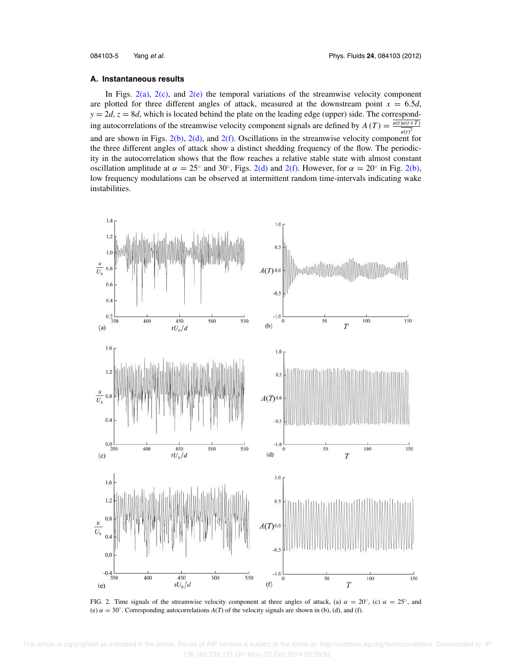#### **A. Instantaneous results**

In Figs.  $2(a)$ ,  $2(c)$ , and  $2(e)$  the temporal variations of the streamwise velocity component are plotted for three different angles of attack, measured at the downstream point  $x = 6.5d$ ,  $y = 2d$ ,  $z = 8d$ , which is located behind the plate on the leading edge (upper) side. The corresponding autocorrelations of the streamwise velocity component signals are defined by  $A(T) = \frac{u(t)u(t+T)}{T}$  $u(t)^2$ and are shown in Figs.  $2(b)$ ,  $2(d)$ , and  $2(f)$ . Oscillations in the streamwise velocity component for the three different angles of attack show a distinct shedding frequency of the flow. The periodicity in the autocorrelation shows that the flow reaches a relative stable state with almost constant oscillation amplitude at  $\alpha = 25^\circ$  and 30°, Figs. 2(d) and 2(f). However, for  $\alpha = 20^\circ$  in Fig. 2(b), low frequency modulations can be observed at intermittent random time-intervals indicating wake instabilities.



FIG. 2. Time signals of the streamwise velocity component at three angles of attack, (a)  $\alpha = 20^{\circ}$ , (c)  $\alpha = 25^{\circ}$ , and (e)  $\alpha = 30^\circ$ . Corresponding autocorrelations  $A(T)$  of the velocity signals are shown in (b), (d), and (f).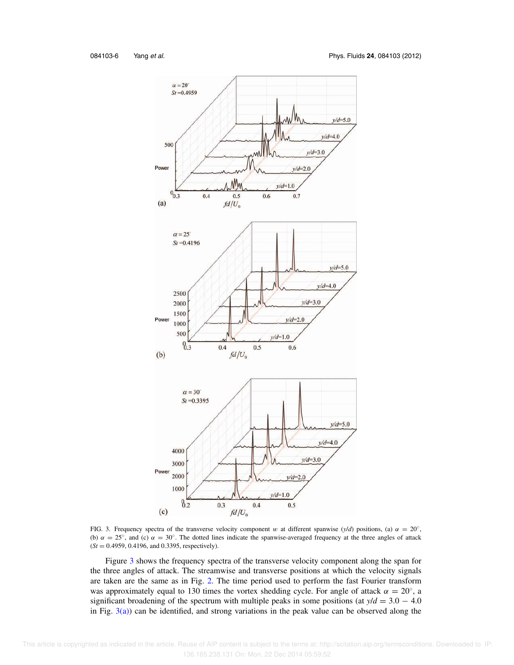![](_page_6_Figure_2.jpeg)

FIG. 3. Frequency spectra of the transverse velocity component w at different spanwise  $(y/d)$  positions, (a)  $\alpha = 20^\circ$ , (b)  $\alpha = 25^\circ$ , and (c)  $\alpha = 30^\circ$ . The dotted lines indicate the spanwise-averaged frequency at the three angles of attack (*St* = 0.4959, 0.4196, and 0.3395, respectively).

Figure 3 shows the frequency spectra of the transverse velocity component along the span for the three angles of attack. The streamwise and transverse positions at which the velocity signals are taken are the same as in Fig. 2. The time period used to perform the fast Fourier transform was approximately equal to 130 times the vortex shedding cycle. For angle of attack  $\alpha = 20^{\circ}$ , a significant broadening of the spectrum with multiple peaks in some positions (at  $y/d = 3.0 - 4.0$ ) in Fig.  $3(a)$ ) can be identified, and strong variations in the peak value can be observed along the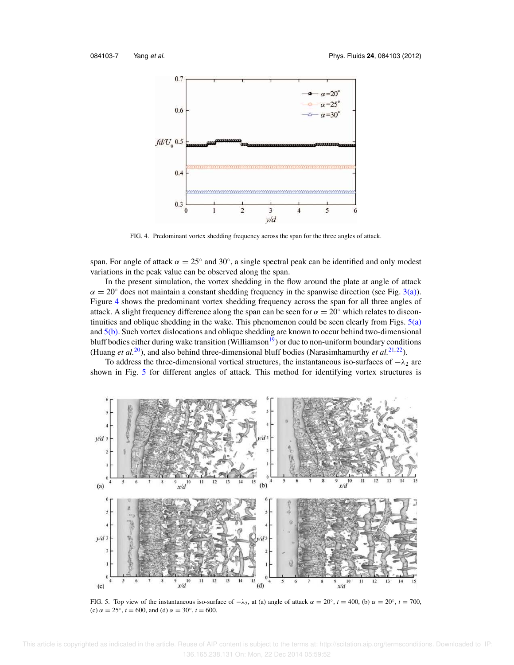![](_page_7_Figure_2.jpeg)

FIG. 4. Predominant vortex shedding frequency across the span for the three angles of attack.

span. For angle of attack  $\alpha = 25^\circ$  and 30°, a single spectral peak can be identified and only modest variations in the peak value can be observed along the span.

In the present simulation, the vortex shedding in the flow around the plate at angle of attack  $\alpha = 20^{\circ}$  does not maintain a constant shedding frequency in the spanwise direction (see Fig. 3(a)). Figure 4 shows the predominant vortex shedding frequency across the span for all three angles of attack. A slight frequency difference along the span can be seen for  $\alpha = 20°$  which relates to discontinuities and oblique shedding in the wake. This phenomenon could be seen clearly from Figs. 5(a) and  $5(b)$ . Such vortex dislocations and oblique shedding are known to occur behind two-dimensional bluff bodies either during wake transition (Williamson<sup>19</sup>) or due to non-uniform boundary conditions (Huang *et al.*<sup>20</sup>), and also behind three-dimensional bluff bodies (Narasimhamurthy *et al.*<sup>21,22</sup>).

To address the three-dimensional vortical structures, the instantaneous iso-surfaces of  $-\lambda_2$  are shown in Fig. 5 for different angles of attack. This method for identifying vortex structures is

![](_page_7_Figure_7.jpeg)

FIG. 5. Top view of the instantaneous iso-surface of  $-\lambda_2$ , at (a) angle of attack  $\alpha = 20^\circ$ ,  $t = 400$ , (b)  $\alpha = 20^\circ$ ,  $t = 700$ , (c)  $\alpha = 25^{\circ}$ ,  $t = 600$ , and (d)  $\alpha = 30^{\circ}$ ,  $t = 600$ .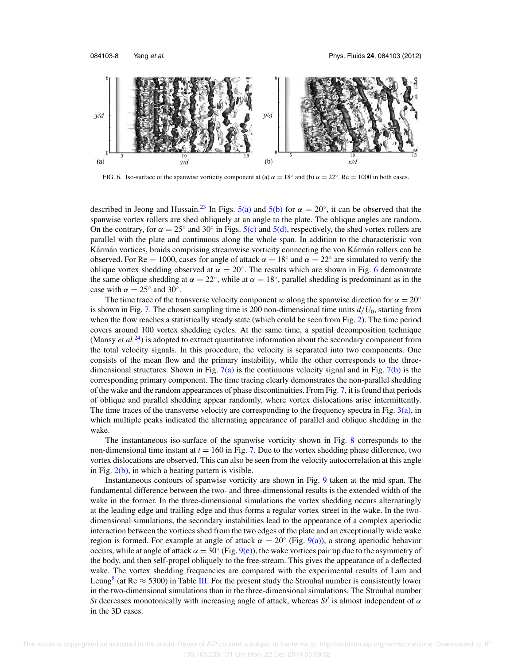![](_page_8_Figure_2.jpeg)

FIG. 6. Iso-surface of the spanwise vorticity component at (a)  $\alpha = 18^\circ$  and (b)  $\alpha = 22^\circ$ . Re = 1000 in both cases.

described in Jeong and Hussain.<sup>23</sup> In Figs. 5(a) and 5(b) for  $\alpha = 20^{\circ}$ , it can be observed that the spanwise vortex rollers are shed obliquely at an angle to the plate. The oblique angles are random. On the contrary, for  $\alpha = 25^\circ$  and 30° in Figs. 5(c) and 5(d), respectively, the shed vortex rollers are parallel with the plate and continuous along the whole span. In addition to the characteristic von Kármán vortices, braids comprising streamwise vorticity connecting the von Kármán rollers can be observed. For Re = 1000, cases for angle of attack  $\alpha = 18^\circ$  and  $\alpha = 22^\circ$  are simulated to verify the oblique vortex shedding observed at  $\alpha = 20^\circ$ . The results which are shown in Fig. 6 demonstrate the same oblique shedding at  $\alpha = 22^{\circ}$ , while at  $\alpha = 18^{\circ}$ , parallel shedding is predominant as in the case with  $\alpha = 25^\circ$  and 30°.

The time trace of the transverse velocity component w along the spanwise direction for  $\alpha = 20^\circ$ is shown in Fig. 7. The chosen sampling time is 200 non-dimensional time units  $d/U_0$ , starting from when the flow reaches a statistically steady state (which could be seen from Fig. 2). The time period covers around 100 vortex shedding cycles. At the same time, a spatial decomposition technique (Mansy *et al.*<sup>24</sup>) is adopted to extract quantitative information about the secondary component from the total velocity signals. In this procedure, the velocity is separated into two components. One consists of the mean flow and the primary instability, while the other corresponds to the threedimensional structures. Shown in Fig.  $7(a)$  is the continuous velocity signal and in Fig.  $7(b)$  is the corresponding primary component. The time tracing clearly demonstrates the non-parallel shedding of the wake and the random appearances of phase discontinuities. From Fig. 7, it is found that periods of oblique and parallel shedding appear randomly, where vortex dislocations arise intermittently. The time traces of the transverse velocity are corresponding to the frequency spectra in Fig. 3(a), in which multiple peaks indicated the alternating appearance of parallel and oblique shedding in the wake.

The instantaneous iso-surface of the spanwise vorticity shown in Fig. 8 corresponds to the non-dimensional time instant at  $t = 160$  in Fig. 7. Due to the vortex shedding phase difference, two vortex dislocations are observed. This can also be seen from the velocity autocorrelation at this angle in Fig.  $2(b)$ , in which a beating pattern is visible.

Instantaneous contours of spanwise vorticity are shown in Fig. 9 taken at the mid span. The fundamental difference between the two- and three-dimensional results is the extended width of the wake in the former. In the three-dimensional simulations the vortex shedding occurs alternatingly at the leading edge and trailing edge and thus forms a regular vortex street in the wake. In the twodimensional simulations, the secondary instabilities lead to the appearance of a complex aperiodic interaction between the vortices shed from the two edges of the plate and an exceptionally wide wake region is formed. For example at angle of attack  $\alpha = 20^{\circ}$  (Fig. 9(a)), a strong aperiodic behavior occurs, while at angle of attack  $\alpha = 30^{\circ}$  (Fig. 9(e)), the wake vortices pair up due to the asymmetry of the body, and then self-propel obliquely to the free-stream. This gives the appearance of a deflected wake. The vortex shedding frequencies are compared with the experimental results of Lam and Leung<sup>8</sup> (at Re  $\approx$  5300) in Table III. For the present study the Strouhal number is consistently lower in the two-dimensional simulations than in the three-dimensional simulations. The Strouhal number *St* decreases monotonically with increasing angle of attack, whereas  $St'$  is almost independent of  $\alpha$ in the 3D cases.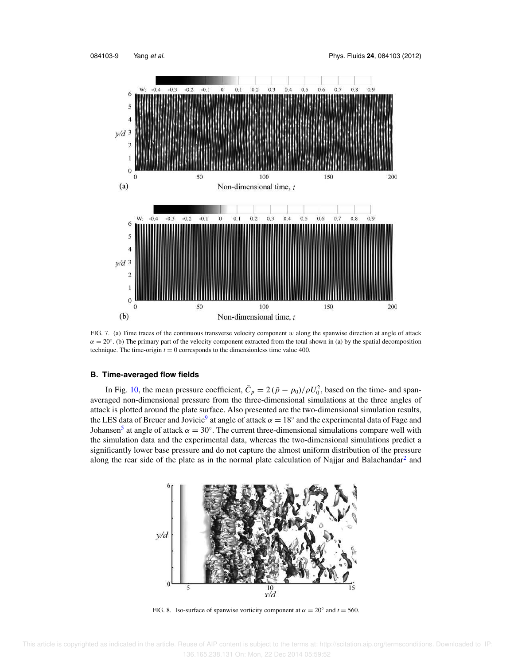![](_page_9_Figure_2.jpeg)

FIG. 7. (a) Time traces of the continuous transverse velocity component  $w$  along the spanwise direction at angle of attack  $\alpha = 20^\circ$ . (b) The primary part of the velocity component extracted from the total shown in (a) by the spatial decomposition technique. The time-origin  $t = 0$  corresponds to the dimensionless time value 400.

#### **B. Time-averaged flow fields**

In Fig. 10, the mean pressure coefficient,  $\bar{C}_p = 2(\bar{p} - p_0)/\rho U_0^2$ , based on the time- and spanaveraged non-dimensional pressure from the three-dimensional simulations at the three angles of attack is plotted around the plate surface. Also presented are the two-dimensional simulation results, the LES data of Breuer and Jovicic<sup>9</sup> at angle of attack  $\alpha = 18^\circ$  and the experimental data of Fage and Johansen<sup>5</sup> at angle of attack  $\alpha = 30^{\circ}$ . The current three-dimensional simulations compare well with the simulation data and the experimental data, whereas the two-dimensional simulations predict a significantly lower base pressure and do not capture the almost uniform distribution of the pressure along the rear side of the plate as in the normal plate calculation of Najjar and Balachandar<sup>2</sup> and

![](_page_9_Figure_6.jpeg)

FIG. 8. Iso-surface of spanwise vorticity component at  $\alpha = 20^\circ$  and  $t = 560$ .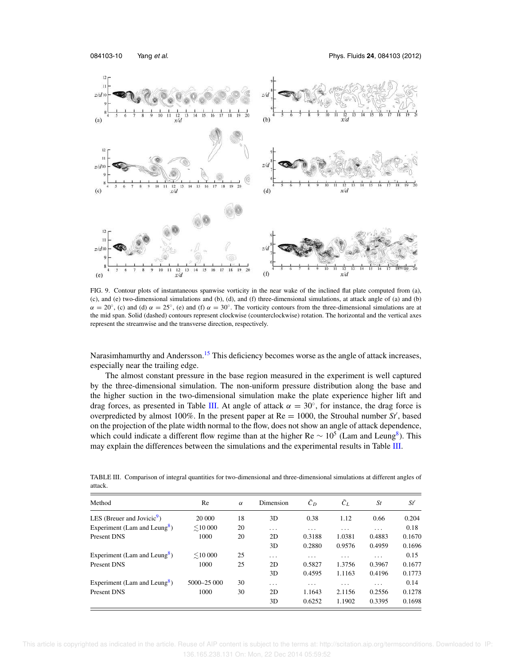![](_page_10_Figure_2.jpeg)

FIG. 9. Contour plots of instantaneous spanwise vorticity in the near wake of the inclined flat plate computed from (a), (c), and (e) two-dimensional simulations and (b), (d), and (f) three-dimensional simulations, at attack angle of (a) and (b)  $\alpha = 20^{\circ}$ , (c) and (d)  $\alpha = 25^{\circ}$ , (e) and (f)  $\alpha = 30^{\circ}$ . The vorticity contours from the three-dimensional simulations are at the mid span. Solid (dashed) contours represent clockwise (counterclockwise) rotation. The horizontal and the vertical axes represent the streamwise and the transverse direction, respectively.

Narasimhamurthy and Andersson.<sup>15</sup> This deficiency becomes worse as the angle of attack increases, especially near the trailing edge.

The almost constant pressure in the base region measured in the experiment is well captured by the three-dimensional simulation. The non-uniform pressure distribution along the base and the higher suction in the two-dimensional simulation make the plate experience higher lift and drag forces, as presented in Table III. At angle of attack  $\alpha = 30^{\circ}$ , for instance, the drag force is overpredicted by almost 100%. In the present paper at  $Re = 1000$ , the Strouhal number  $St'$ , based on the projection of the plate width normal to the flow, does not show an angle of attack dependence, which could indicate a different flow regime than at the higher Re  $\sim 10^5$  (Lam and Leung<sup>8</sup>). This may explain the differences between the simulations and the experimental results in Table III.

TABLE III. Comparison of integral quantities for two-dimensional and three-dimensional simulations at different angles of attack.

| Method                                   | Re            | $\alpha$ | Dimension               | $\bar{c}_D$             | $\bar{C}_L$ | <i>St</i> | St'    |
|------------------------------------------|---------------|----------|-------------------------|-------------------------|-------------|-----------|--------|
| LES (Breuer and Jovicic $\mathcal{S}$ )  | 20 000        | 18       | 3D                      | 0.38                    | 1.12        | 0.66      | 0.204  |
| Experiment (Lam and Leung <sup>8</sup> ) | $\leq$ 10 000 | 20       | $\cdot$ $\cdot$ $\cdot$ | $\cdot$ $\cdot$ $\cdot$ | $\cdots$    | $\cdots$  | 0.18   |
| Present DNS                              | 1000          | 20       | 2D                      | 0.3188                  | 1.0381      | 0.4883    | 0.1670 |
|                                          |               |          | 3D                      | 0.2880                  | 0.9576      | 0.4959    | 0.1696 |
| Experiment (Lam and Leung <sup>8</sup> ) | $\leq 10000$  | 25       | $\cdot$ $\cdot$ $\cdot$ | $\cdot$ $\cdot$ $\cdot$ | $\cdots$    | $\cdots$  | 0.15   |
| Present DNS                              | 1000          | 25       | 2D                      | 0.5827                  | 1.3756      | 0.3967    | 0.1677 |
|                                          |               |          | 3D                      | 0.4595                  | 1.1163      | 0.4196    | 0.1773 |
| Experiment (Lam and Leung <sup>8</sup> ) | 5000-25 000   | 30       | $\cdot$ $\cdot$ $\cdot$ | $\cdot$ $\cdot$ $\cdot$ | $\cdots$    | $\cdots$  | 0.14   |
| Present DNS                              | 1000          | 30       | 2D                      | 1.1643                  | 2.1156      | 0.2556    | 0.1278 |
|                                          |               |          | 3D                      | 0.6252                  | 1.1902      | 0.3395    | 0.1698 |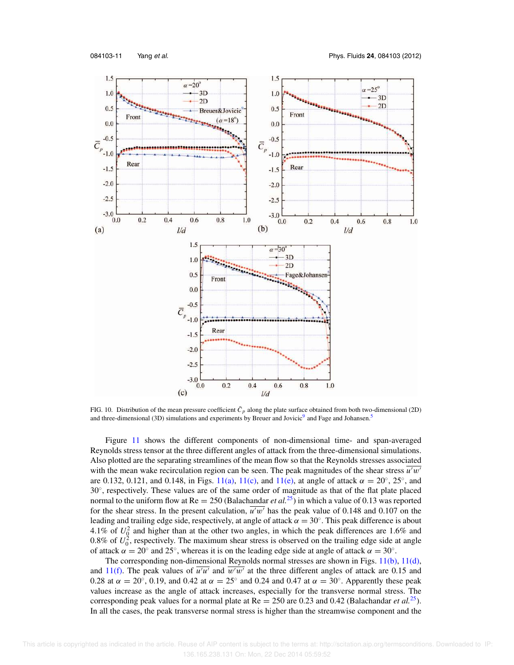![](_page_11_Figure_2.jpeg)

FIG. 10. Distribution of the mean pressure coefficient  $\bar{C}_p$  along the plate surface obtained from both two-dimensional (2D) and three-dimensional (3D) simulations and experiments by Breuer and Jovicic<sup>9</sup> and Fage and Johansen.<sup>5</sup>

Figure 11 shows the different components of non-dimensional time- and span-averaged Reynolds stress tensor at the three different angles of attack from the three-dimensional simulations. Also plotted are the separating streamlines of the mean flow so that the Reynolds stresses associated with the mean wake recirculation region can be seen. The peak magnitudes of the shear stress  $\overline{u'w'}$ are 0.132, 0.121, and 0.148, in Figs. 11(a), 11(c), and 11(e), at angle of attack  $\alpha = 20^{\circ}$ , 25°, and 30°, respectively. These values are of the same order of magnitude as that of the flat plate placed normal to the uniform flow at Re = 250 (Balachandar *et al.*<sup>25</sup>) in which a value of 0.13 was reported for the shear stress. In the present calculation,  $\overline{u^{\prime}w^{\prime}}$  has the peak value of 0.148 and 0.107 on the leading and trailing edge side, respectively, at angle of attack  $\alpha = 30^{\circ}$ . This peak difference is about 4.1% of  $U_q^2$  and higher than at the other two angles, in which the peak differences are 1.6% and 0.8% of  $U_0^2$ , respectively. The maximum shear stress is observed on the trailing edge side at angle of attack  $\alpha = 20^{\circ}$  and  $25^{\circ}$ , whereas it is on the leading edge side at angle of attack  $\alpha = 30^{\circ}$ .

The corresponding non-dimensional Reynolds normal stresses are shown in Figs. 11(b), 11(d), and 11(f). The peak values of  $\overline{u'u'}$  and  $\overline{w'w'}$  at the three different angles of attack are 0.15 and 0.28 at  $\alpha = 20^{\circ}$ , 0.19, and 0.42 at  $\alpha = 25^{\circ}$  and 0.24 and 0.47 at  $\alpha = 30^{\circ}$ . Apparently these peak values increase as the angle of attack increases, especially for the transverse normal stress. The corresponding peak values for a normal plate at  $Re = 250$  are 0.23 and 0.42 (Balachandar *et al.*<sup>25</sup>). In all the cases, the peak transverse normal stress is higher than the streamwise component and the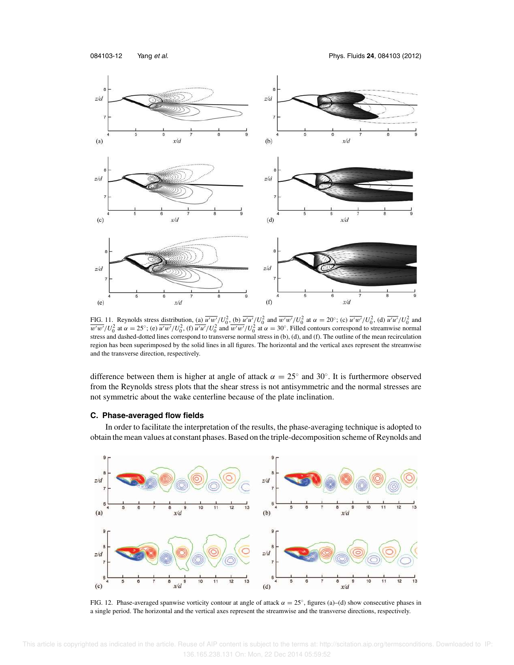084103-12 Yang et al. Phys. Fluids **24**, 084103 (2012)

![](_page_12_Figure_2.jpeg)

FIG. 11. Reynolds stress distribution, (a)  $\overline{u'w'}/U_0^2$ , (b)  $\overline{u'u'}/U_0^2$  and  $\overline{w'w'}/U_0^2$  at  $\alpha = 20^\circ$ ; (c)  $\overline{u'w'}/U_0^2$ , (d)  $\overline{u'u'}/U_0^2$  and  $\overline{w'w'}/U_0^2$  at  $\alpha = 25^\circ$ ; (e)  $\overline{u'w'}/U_0^2$ , (f)  $\overline{u'u'}/U_0^2$  and  $\overline{w'w'}/U_0^2$  at  $\alpha = 30^\circ$ . Filled contours correspond to streamwise normal stress and dashed-dotted lines correspond to transverse normal stress in (b), (d), and (f). The outline of the mean recirculation region has been superimposed by the solid lines in all figures. The horizontal and the vertical axes represent the streamwise and the transverse direction, respectively.

difference between them is higher at angle of attack  $\alpha = 25^\circ$  and 30°. It is furthermore observed from the Reynolds stress plots that the shear stress is not antisymmetric and the normal stresses are not symmetric about the wake centerline because of the plate inclination.

# **C. Phase-averaged flow fields**

In order to facilitate the interpretation of the results, the phase-averaging technique is adopted to obtain the mean values at constant phases. Based on the triple-decomposition scheme of Reynolds and

![](_page_12_Figure_7.jpeg)

FIG. 12. Phase-averaged spanwise vorticity contour at angle of attack  $\alpha = 25^\circ$ , figures (a)–(d) show consecutive phases in a single period. The horizontal and the vertical axes represent the streamwise and the transverse directions, respectively.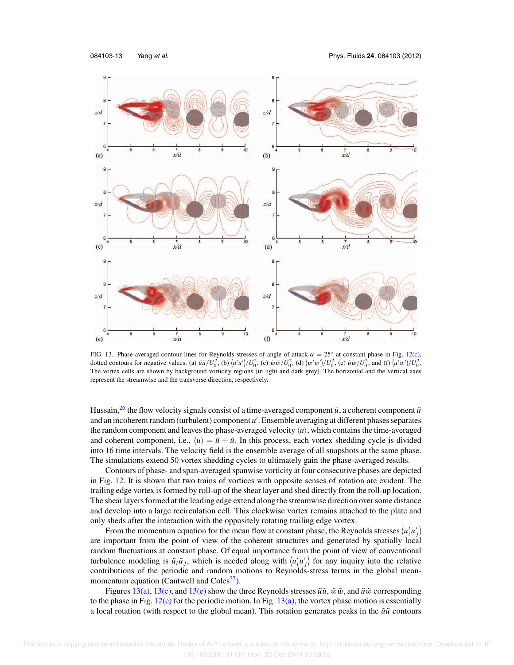084103-13 Yang et al. Phys. Fluids **24**, 084103 (2012)

![](_page_13_Figure_2.jpeg)

FIG. 13. Phase-averaged contour lines for Reynolds stresses of angle of attack  $\alpha = 25^\circ$  at constant phase in Fig. 12(c), dotted contours for negative values. (a)  $\tilde{u}\tilde{u}/U_0^2$ , (b)  $\langle u'u'\rangle/U_0^2$ , (c)  $\tilde{w}\tilde{w}/U_0^2$ , (d)  $\langle w'w'\rangle/U_0^2$ , (e)  $\tilde{u}\tilde{w}/U_0^2$ , and (f)  $\langle u'w'\rangle/U_0^2$ . The vortex cells are shown by background vorticity regions (in light and dark grey). The horizontal and the vertical axes represent the streamwise and the transverse direction, respectively.

Hussain,<sup>26</sup> the flow velocity signals consist of a time-averaged component  $\bar{u}$ , a coherent component  $\tilde{u}$ and an incoherent random (turbulent) component *u* ′ . Ensemble averaging at different phases separates the random component and leaves the phase-averaged velocity  $\langle u \rangle$ , which contains the time-averaged and coherent component, i.e.,  $\langle u \rangle = \bar{u} + \tilde{u}$ . In this process, each vortex shedding cycle is divided into 16 time intervals. The velocity field is the ensemble average of all snapshots at the same phase. The simulations extend 50 vortex shedding cycles to ultimately gain the phase-averaged results.

Contours of phase- and span-averaged spanwise vorticity at four consecutive phases are depicted in Fig. 12. It is shown that two trains of vortices with opposite senses of rotation are evident. The trailing edge vortex is formed by roll-up of the shear layer and shed directly from the roll-up location. The shear layers formed at the leading edge extend along the streamwise direction over some distance and develop into a large recirculation cell. This clockwise vortex remains attached to the plate and only sheds after the interaction with the oppositely rotating trailing edge vortex.

From the momentum equation for the mean flow at constant phase, the Reynolds stresses  $\langle u'_i u'_j \rangle$ are important from the point of view of the coherent structures and generated by spatially local random fluctuations at constant phase. Of equal importance from the point of view of conventional turbulence modeling is  $\tilde{u}_i \tilde{u}_j$ , which is needed along with  $\langle u'_i u'_j \rangle$  for any inquiry into the relative contributions of the periodic and random motions to Reynolds-stress terms in the global meanmomentum equation (Cantwell and Coles<sup>27</sup>).

Figures 13(a), 13(c), and 13(e) show the three Reynolds stresses  $\tilde{u}\tilde{u}$ ,  $\tilde{w}\tilde{w}$ , and  $\tilde{u}\tilde{w}$  corresponding to the phase in Fig.  $12(c)$  for the periodic motion. In Fig.  $13(a)$ , the vortex phase motion is essentially a local rotation (with respect to the global mean). This rotation generates peaks in the  $\tilde{u}\tilde{u}$  contours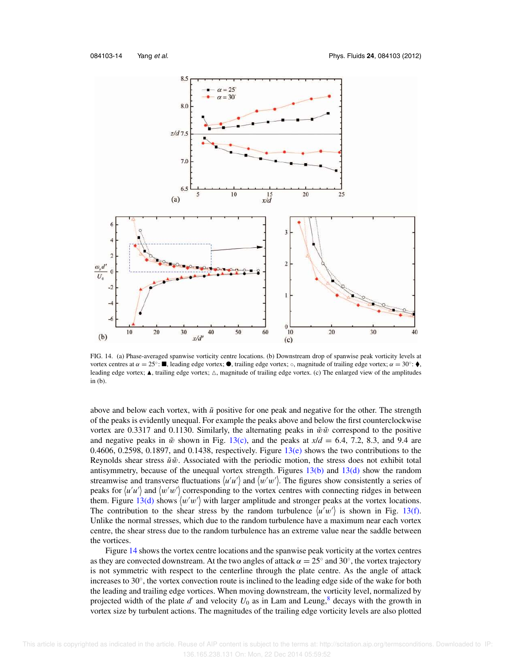![](_page_14_Figure_2.jpeg)

FIG. 14. (a) Phase-averaged spanwise vorticity centre locations. (b) Downstream drop of spanwise peak vorticity levels at vortex centres at  $\alpha = 25^\circ$ :  $\blacksquare$ , leading edge vortex;  $\heartsuit$ , trailing edge vortex;  $\circ$ , magnitude of trailing edge vortex;  $\alpha = 30^\circ$ :  $\spadesuit$ , leading edge vortex;  $\blacktriangle$ , trailing edge vortex;  $\triangle$ , magnitude of trailing edge vortex. (c) The enlarged view of the amplitudes in (b).

above and below each vortex, with  $\tilde{u}$  positive for one peak and negative for the other. The strength of the peaks is evidently unequal. For example the peaks above and below the first counterclockwise vortex are 0.3317 and 0.1130. Similarly, the alternating peaks in  $\tilde{w}\tilde{w}$  correspond to the positive and negative peaks in  $\tilde{w}$  shown in Fig. 13(c), and the peaks at  $x/d = 6.4$ , 7.2, 8.3, and 9.4 are 0.4606, 0.2598, 0.1897, and 0.1438, respectively. Figure  $13(e)$  shows the two contributions to the Reynolds shear stress  $\tilde{u}\tilde{w}$ . Associated with the periodic motion, the stress does not exhibit total antisymmetry, because of the unequal vortex strength. Figures  $13(b)$  and  $13(d)$  show the random streamwise and transverse fluctuations  $\langle u'u' \rangle$  and  $\langle w'w' \rangle$ . The figures show consistently a series of peaks for  $\langle u'u' \rangle$  and  $\langle w'w' \rangle$  corresponding to the vortex centres with connecting ridges in between them. Figure  $13(d)$  shows  $\langle w'w' \rangle$  with larger amplitude and stronger peaks at the vortex locations. The contribution to the shear stress by the random turbulence  $\langle u'w' \rangle$  is shown in Fig. 13(f). Unlike the normal stresses, which due to the random turbulence have a maximum near each vortex centre, the shear stress due to the random turbulence has an extreme value near the saddle between the vortices.

Figure 14 shows the vortex centre locations and the spanwise peak vorticity at the vortex centres as they are convected downstream. At the two angles of attack  $\alpha = 25^\circ$  and 30°, the vortex trajectory is not symmetric with respect to the centerline through the plate centre. As the angle of attack increases to 30°, the vortex convection route is inclined to the leading edge side of the wake for both the leading and trailing edge vortices. When moving downstream, the vorticity level, normalized by projected width of the plate  $d'$  and velocity  $U_0$  as in Lam and Leung,  $\frac{8}{3}$  decays with the growth in vortex size by turbulent actions. The magnitudes of the trailing edge vorticity levels are also plotted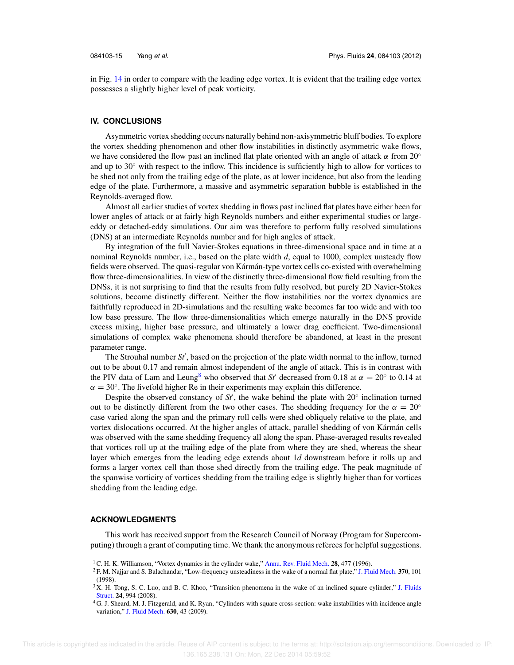in Fig. 14 in order to compare with the leading edge vortex. It is evident that the trailing edge vortex possesses a slightly higher level of peak vorticity.

#### **IV. CONCLUSIONS**

Asymmetric vortex shedding occurs naturally behind non-axisymmetric bluff bodies. To explore the vortex shedding phenomenon and other flow instabilities in distinctly asymmetric wake flows, we have considered the flow past an inclined flat plate oriented with an angle of attack  $\alpha$  from 20° and up to 30◦ with respect to the inflow. This incidence is sufficiently high to allow for vortices to be shed not only from the trailing edge of the plate, as at lower incidence, but also from the leading edge of the plate. Furthermore, a massive and asymmetric separation bubble is established in the Reynolds-averaged flow.

Almost all earlier studies of vortex shedding in flows past inclined flat plates have either been for lower angles of attack or at fairly high Reynolds numbers and either experimental studies or largeeddy or detached-eddy simulations. Our aim was therefore to perform fully resolved simulations (DNS) at an intermediate Reynolds number and for high angles of attack.

By integration of the full Navier-Stokes equations in three-dimensional space and in time at a nominal Reynolds number, i.e., based on the plate width *d*, equal to 1000, complex unsteady flow fields were observed. The quasi-regular von Kármán-type vortex cells co-existed with overwhelming flow three-dimensionalities. In view of the distinctly three-dimensional flow field resulting from the DNSs, it is not surprising to find that the results from fully resolved, but purely 2D Navier-Stokes solutions, become distinctly different. Neither the flow instabilities nor the vortex dynamics are faithfully reproduced in 2D-simulations and the resulting wake becomes far too wide and with too low base pressure. The flow three-dimensionalities which emerge naturally in the DNS provide excess mixing, higher base pressure, and ultimately a lower drag coefficient. Two-dimensional simulations of complex wake phenomena should therefore be abandoned, at least in the present parameter range.

The Strouhal number *St*′ , based on the projection of the plate width normal to the inflow, turned out to be about 0.17 and remain almost independent of the angle of attack. This is in contrast with the PIV data of Lam and Leung<sup>8</sup> who observed that *St'* decreased from 0.18 at  $\alpha = 20^{\circ}$  to 0.14 at  $\alpha = 30^{\circ}$ . The fivefold higher Re in their experiments may explain this difference.

Despite the observed constancy of  $St'$ , the wake behind the plate with  $20^\circ$  inclination turned out to be distinctly different from the two other cases. The shedding frequency for the  $\alpha = 20^\circ$ case varied along the span and the primary roll cells were shed obliquely relative to the plate, and vortex dislocations occurred. At the higher angles of attack, parallel shedding of von Kármán cells was observed with the same shedding frequency all along the span. Phase-averaged results revealed that vortices roll up at the trailing edge of the plate from where they are shed, whereas the shear layer which emerges from the leading edge extends about 1*d* downstream before it rolls up and forms a larger vortex cell than those shed directly from the trailing edge. The peak magnitude of the spanwise vorticity of vortices shedding from the trailing edge is slightly higher than for vortices shedding from the leading edge.

#### **ACKNOWLEDGMENTS**

This work has received support from the Research Council of Norway (Program for Supercomputing) through a grant of computing time. We thank the anonymous referees for helpful suggestions.

<sup>1</sup>C. H. K. Williamson, "Vortex dynamics in the cylinder wake," Annu. Rev. Fluid Mech. **28**, 477 (1996).

<sup>2</sup> F. M. Najjar and S. Balachandar, "Low-frequency unsteadiness in the wake of a normal flat plate," J. Fluid Mech. **370**, 101 (1998).

<sup>&</sup>lt;sup>3</sup> X. H. Tong, S. C. Luo, and B. C. Khoo, "Transition phenomena in the wake of an inclined square cylinder," J. Fluids Struct. **24**, 994 (2008).

<sup>4</sup> G. J. Sheard, M. J. Fitzgerald, and K. Ryan, "Cylinders with square cross-section: wake instabilities with incidence angle variation," J. Fluid Mech. **630**, 43 (2009).